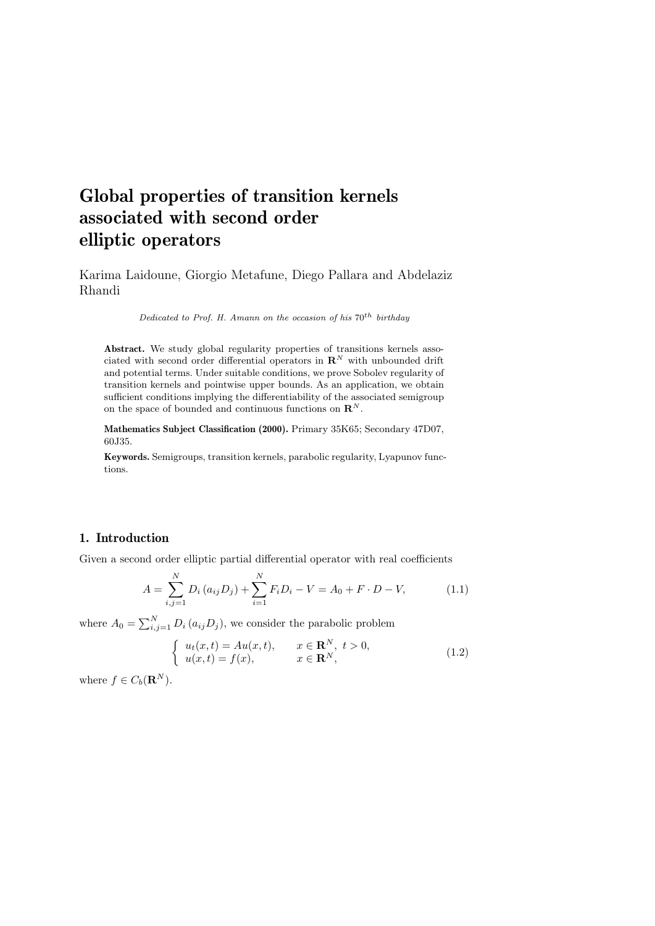# Global properties of transition kernels associated with second order elliptic operators

Karima Laidoune, Giorgio Metafune, Diego Pallara and Abdelaziz Rhandi

Dedicated to Prof. H. Amann on the occasion of his  $70^{th}$  birthday

Abstract. We study global regularity properties of transitions kernels associated with second order differential operators in  $\mathbb{R}^N$  with unbounded drift and potential terms. Under suitable conditions, we prove Sobolev regularity of transition kernels and pointwise upper bounds. As an application, we obtain sufficient conditions implying the differentiability of the associated semigroup on the space of bounded and continuous functions on  $\mathbf{R}^{N}$ .

Mathematics Subject Classification (2000). Primary 35K65; Secondary 47D07, 60J35.

Keywords. Semigroups, transition kernels, parabolic regularity, Lyapunov functions.

## 1. Introduction

Given a second order elliptic partial differential operator with real coefficients

$$
A = \sum_{i,j=1}^{N} D_i (a_{ij} D_j) + \sum_{i=1}^{N} F_i D_i - V = A_0 + F \cdot D - V,
$$
 (1.1)

where  $A_0 = \sum_{i,j=1}^{N} D_i (a_{ij} D_j)$ , we consider the parabolic problem

$$
\begin{cases}\n u_t(x,t) = Au(x,t), & x \in \mathbf{R}^N, \ t > 0, \\
 u(x,t) = f(x), & x \in \mathbf{R}^N,\n\end{cases}
$$
\n(1.2)

where  $f \in C_b(\mathbf{R}^N)$ .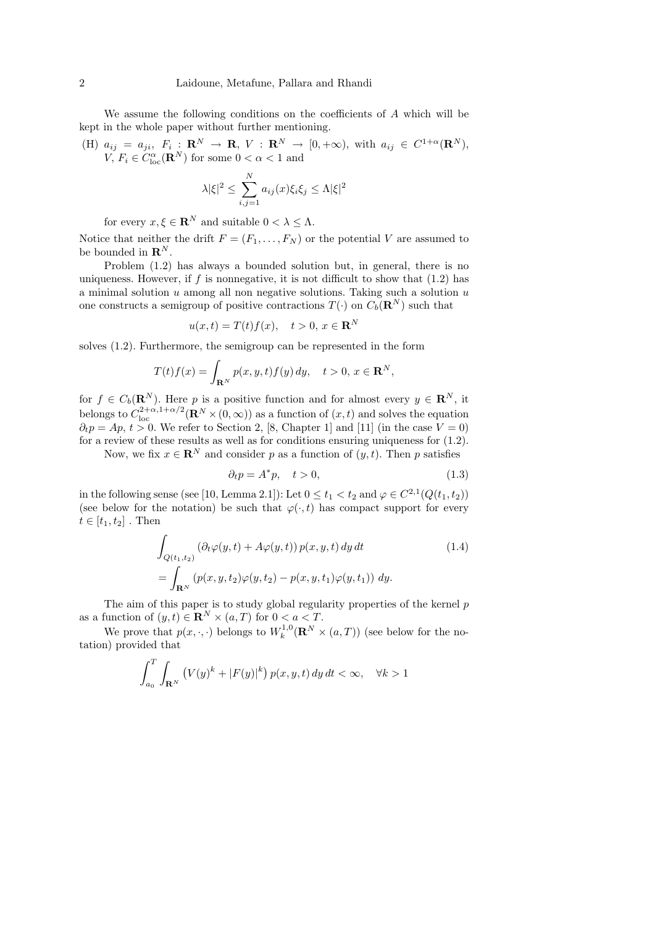We assume the following conditions on the coefficients of A which will be kept in the whole paper without further mentioning.

(H)  $a_{ij} = a_{ji}, F_i : \mathbf{R}^N \to \mathbf{R}, V : \mathbf{R}^N \to [0, +\infty)$ , with  $a_{ij} \in C^{1+\alpha}(\mathbf{R}^N)$ ,  $V, F_i \in C^{\alpha}_{loc}(\mathbf{R}^N)$  for some  $0 < \alpha < 1$  and

$$
\lambda |\xi|^2 \leq \sum_{i,j=1}^N a_{ij}(x)\xi_i \xi_j \leq \Lambda |\xi|^2
$$

for every  $x, \xi \in \mathbf{R}^N$  and suitable  $0 < \lambda \leq \Lambda$ .

Notice that neither the drift  $F = (F_1, \ldots, F_N)$  or the potential V are assumed to be bounded in  $\mathbf{R}^N.$ 

Problem (1.2) has always a bounded solution but, in general, there is no uniqueness. However, if  $f$  is nonnegative, it is not difficult to show that  $(1.2)$  has a minimal solution  $u$  among all non negative solutions. Taking such a solution  $u$ one constructs a semigroup of positive contractions  $T(\cdot)$  on  $C_b(\mathbf{R}^N)$  such that

$$
u(x,t) = T(t)f(x), \quad t > 0, \ x \in \mathbf{R}^N
$$

solves (1.2). Furthermore, the semigroup can be represented in the form

$$
T(t)f(x) = \int_{\mathbf{R}^N} p(x, y, t) f(y) dy, \quad t > 0, x \in \mathbf{R}^N,
$$

for  $f \in C_b(\mathbf{R}^N)$ . Here p is a positive function and for almost every  $y \in \mathbf{R}^N$ , it belongs to  $C^{2+\alpha,1+\alpha/2}_{loc}(\mathbf{R}^N\times(0,\infty))$  as a function of  $(x,t)$  and solves the equation  $\partial_t p = Ap, t > 0$ . We refer to Section 2, [8, Chapter 1] and [11] (in the case  $V = 0$ ) for a review of these results as well as for conditions ensuring uniqueness for (1.2).

Now, we fix  $x \in \mathbb{R}^N$  and consider p as a function of  $(y, t)$ . Then p satisfies

$$
\partial_t p = A^* p, \quad t > 0,\tag{1.3}
$$

in the following sense (see [10, Lemma 2.1]): Let  $0 \le t_1 < t_2$  and  $\varphi \in C^{2,1}(Q(t_1, t_2))$ (see below for the notation) be such that  $\varphi(\cdot,t)$  has compact support for every  $t \in [t_1, t_2]$ . Then

$$
\int_{Q(t_1,t_2)} \left(\partial_t \varphi(y,t) + A\varphi(y,t)\right) p(x,y,t) \, dy \, dt \tag{1.4}
$$
\n
$$
= \int_{\mathbf{R}^N} \left(p(x,y,t_2)\varphi(y,t_2) - p(x,y,t_1)\varphi(y,t_1)\right) \, dy.
$$

The aim of this paper is to study global regularity properties of the kernel  $p$ as a function of  $(y, t) \in \mathbb{R}^N \times (a, T)$  for  $0 < a < T$ .

We prove that  $p(x, \cdot, \cdot)$  belongs to  $W_k^{1,0}(\mathbf{R}^N \times (a, T))$  (see below for the notation) provided that

$$
\int_{a_0}^{T} \int_{\mathbf{R}^N} \left( V(y)^k + |F(y)|^k \right) p(x, y, t) \, dy \, dt < \infty, \quad \forall k > 1
$$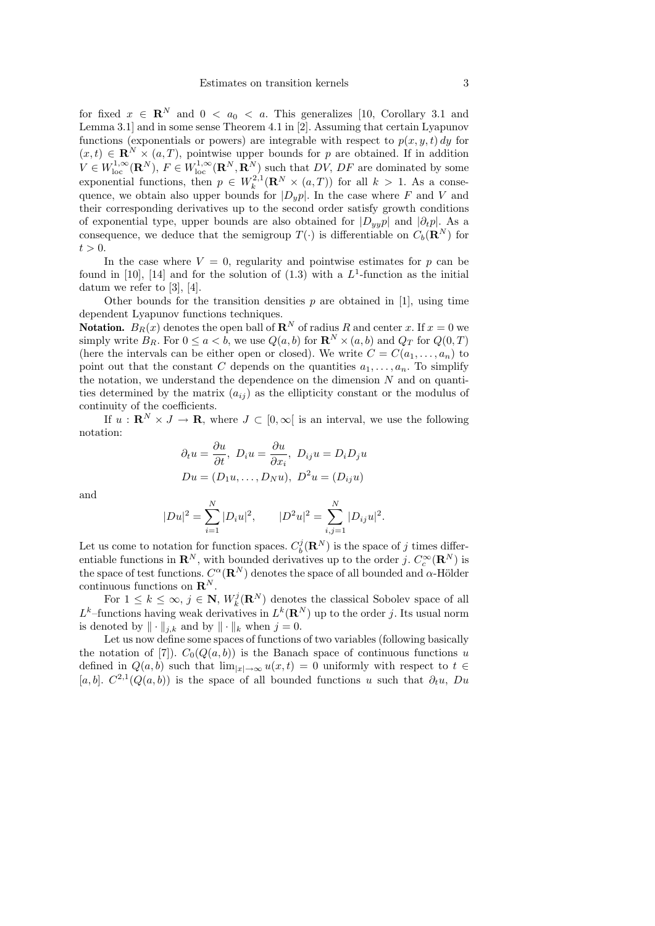for fixed  $x \in \mathbb{R}^N$  and  $0 < a_0 < a$ . This generalizes [10, Corollary 3.1 and Lemma 3.1] and in some sense Theorem 4.1 in [2]. Assuming that certain Lyapunov functions (exponentials or powers) are integrable with respect to  $p(x, y, t) dy$  for  $(x, t) \in \mathbb{R}^N \times (a, T)$ , pointwise upper bounds for p are obtained. If in addition  $V \in W^{1,\infty}_{loc}(\mathbf{R}^N)$ ,  $F \in W^{1,\infty}_{loc}(\mathbf{R}^N,\mathbf{R}^N)$  such that  $DV$ ,  $DF$  are dominated by some exponential functions, then  $p \in W_k^{2,1}(\mathbf{R}^N \times (a,T))$  for all  $k > 1$ . As a consequence, we obtain also upper bounds for  $|D_y p|$ . In the case where F and V and their corresponding derivatives up to the second order satisfy growth conditions of exponential type, upper bounds are also obtained for  $|D_{y,y}p|$  and  $|\partial_t p|$ . As a consequence, we deduce that the semigroup  $T(\cdot)$  is differentiable on  $C_b(\mathbf{R}^N)$  for  $t > 0$ .

In the case where  $V = 0$ , regularity and pointwise estimates for p can be found in [10], [14] and for the solution of  $(1.3)$  with a  $L^1$ -function as the initial datum we refer to [3], [4].

Other bounds for the transition densities  $p$  are obtained in [1], using time dependent Lyapunov functions techniques.

**Notation.**  $B_R(x)$  denotes the open ball of  $\mathbb{R}^N$  of radius R and center x. If  $x = 0$  we simply write  $B_R$ . For  $0 \le a < b$ , we use  $Q(a, b)$  for  $\mathbb{R}^N \times (a, b)$  and  $Q_T$  for  $Q(0, T)$ (here the intervals can be either open or closed). We write  $C = C(a_1, \ldots, a_n)$  to point out that the constant C depends on the quantities  $a_1, \ldots, a_n$ . To simplify the notation, we understand the dependence on the dimension  $N$  and on quantities determined by the matrix  $(a_{ij})$  as the ellipticity constant or the modulus of continuity of the coefficients.

If  $u : \mathbf{R}^N \times J \to \mathbf{R}$ , where  $J \subset [0,\infty]$  is an interval, we use the following notation:

$$
\partial_t u = \frac{\partial u}{\partial t}, \ D_i u = \frac{\partial u}{\partial x_i}, \ D_{ij} u = D_i D_j u
$$

$$
Du = (D_1 u, \dots, D_N u), \ D^2 u = (D_{ij} u)
$$

and

$$
|Du|^2 = \sum_{i=1}^{N} |D_i u|^2, \qquad |D^2 u|^2 = \sum_{i,j=1}^{N} |D_{ij} u|^2.
$$

Let us come to notation for function spaces.  $C_b^j(\mathbf{R}^N)$  is the space of j times differentiable functions in  $\mathbf{R}^N$ , with bounded derivatives up to the order j.  $C_c^{\infty}(\mathbf{R}^N)$  is the space of test functions.  $C^{\alpha}(\mathbf{R}^N)$  denotes the space of all bounded and  $\alpha$ -Hölder continuous functions on  $\mathbf{R}^N$ .

For  $1 \leq k \leq \infty$ ,  $j \in \mathbb{N}$ ,  $W_k^j(\mathbf{R}^N)$  denotes the classical Sobolev space of all  $L^k$ -functions having weak derivatives in  $L^k(\mathbf{R}^N)$  up to the order j. Its usual norm is denoted by  $\|\cdot\|_{j,k}$  and by  $\|\cdot\|_k$  when  $j = 0$ .

Let us now define some spaces of functions of two variables (following basically the notation of [7]).  $C_0(Q(a, b))$  is the Banach space of continuous functions u defined in  $Q(a, b)$  such that  $\lim_{|x| \to \infty} u(x, t) = 0$  uniformly with respect to  $t \in$ [a, b].  $C^{2,1}(Q(a, b))$  is the space of all bounded functions u such that  $\partial_t u$ , Du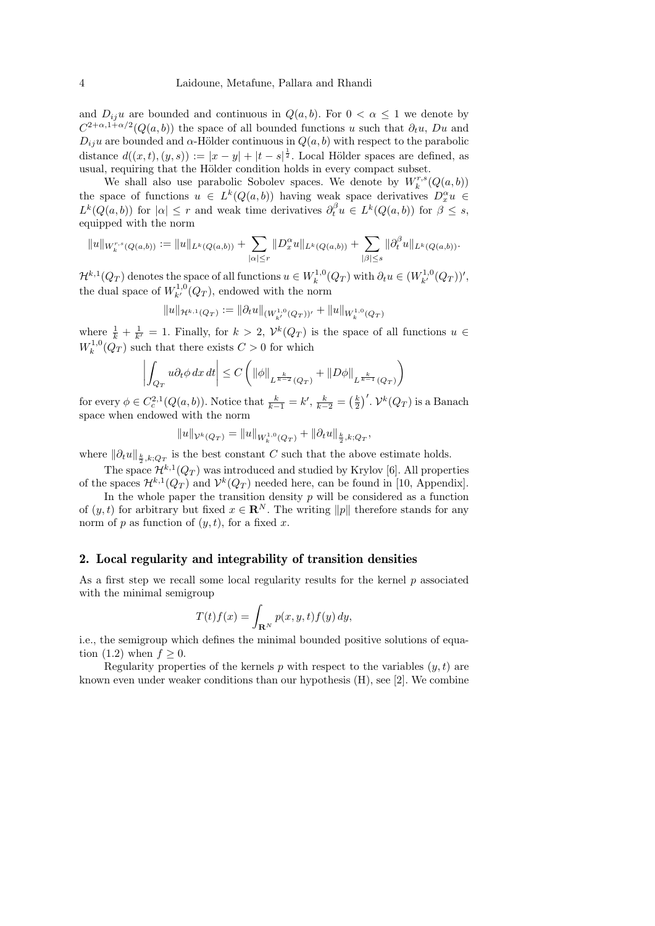and  $D_{ij}u$  are bounded and continuous in  $Q(a, b)$ . For  $0 < \alpha \leq 1$  we denote by  $C^{2+\alpha,1+\alpha/2}(Q(a,b))$  the space of all bounded functions u such that  $\partial_t u$ , Du and  $D_{ii}u$  are bounded and  $\alpha$ -Hölder continuous in  $Q(a, b)$  with respect to the parabolic distance  $d((x,t),(y,s)) := |x-y| + |t-s|^{\frac{1}{2}}$ . Local Hölder spaces are defined, as usual, requiring that the Hölder condition holds in every compact subset.

We shall also use parabolic Sobolev spaces. We denote by  $W_k^{r,s}(Q(a, b))$ the space of functions  $u \in L^k(Q(a, b))$  having weak space derivatives  $D_x^{\alpha} u \in$  $L^k(Q(a, b))$  for  $|\alpha| \leq r$  and weak time derivatives  $\partial_t^{\beta} u \in L^k(Q(a, b))$  for  $\beta \leq s$ , equipped with the norm

$$
||u||_{W_k^{r,s}(Q(a,b))} := ||u||_{L^k(Q(a,b))} + \sum_{|\alpha| \le r} ||D_x^{\alpha}u||_{L^k(Q(a,b))} + \sum_{|\beta| \le s} ||\partial_t^{\beta}u||_{L^k(Q(a,b))}.
$$

 $\mathcal{H}^{k,1}(Q_T)$  denotes the space of all functions  $u \in W_k^{1,0}(Q_T)$  with  $\partial_t u \in (W_{k'}^{1,0}(Q_T))'$ , the dual space of  $W_{k'}^{1,0}(Q_T)$ , endowed with the norm

$$
||u||_{\mathcal{H}^{k,1}(Q_T)} := ||\partial_t u||_{(W^{1,0}_{k'}(Q_T))'} + ||u||_{W^{1,0}_{k}(Q_T)}
$$

where  $\frac{1}{k} + \frac{1}{k'} = 1$ . Finally, for  $k > 2$ ,  $\mathcal{V}^k(Q_T)$  is the space of all functions  $u \in$  $W_k^{1,0}(Q_T)$  such that there exists  $C > 0$  for which

$$
\left| \int_{Q_T} u \partial_t \phi \, dx \, dt \right| \le C \left( \|\phi\|_{L^{\frac{k}{k-2}}(Q_T)} + \|D\phi\|_{L^{\frac{k}{k-1}}(Q_T)} \right)
$$

for every  $\phi \in C_c^{2,1}(Q(a, b))$ . Notice that  $\frac{k}{k-1} = k'$ ,  $\frac{k}{k-2} = \left(\frac{k}{2}\right)'$ .  $\mathcal{V}^k(Q_T)$  is a Banach space when endowed with the norm

$$
||u||_{\mathcal{V}^k(Q_T)} = ||u||_{W^{1,0}_k(Q_T)} + ||\partial_t u||_{\frac{k}{2},k;Q_T},
$$

where  $\|\partial_t u\|_{\frac{k}{2}, k; Q_T}$  is the best constant C such that the above estimate holds.

The space  $\mathcal{H}^{k,1}(Q_T)$  was introduced and studied by Krylov [6]. All properties of the spaces  $\mathcal{H}^{k,1}(Q_T)$  and  $\mathcal{V}^k(Q_T)$  needed here, can be found in [10, Appendix].

In the whole paper the transition density  $p$  will be considered as a function of  $(y, t)$  for arbitrary but fixed  $x \in \mathbb{R}^N$ . The writing  $||p||$  therefore stands for any norm of  $p$  as function of  $(y, t)$ , for a fixed x.

### 2. Local regularity and integrability of transition densities

As a first step we recall some local regularity results for the kernel  $p$  associated with the minimal semigroup

$$
T(t)f(x) = \int_{\mathbf{R}^N} p(x, y, t) f(y) dy,
$$

i.e., the semigroup which defines the minimal bounded positive solutions of equation (1.2) when  $f \geq 0$ .

Regularity properties of the kernels p with respect to the variables  $(y, t)$  are known even under weaker conditions than our hypothesis (H), see [2]. We combine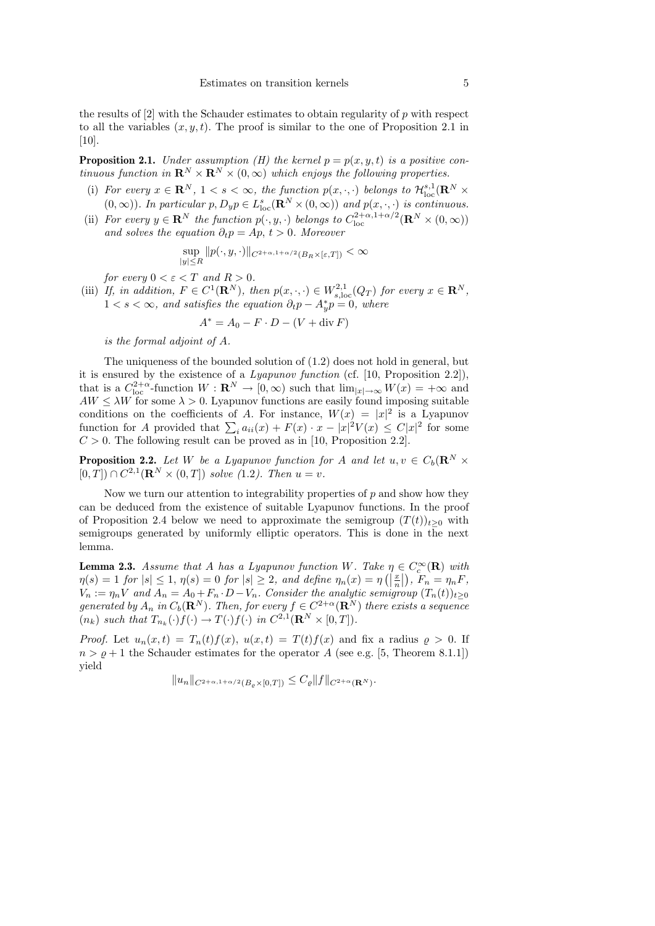the results of [2] with the Schauder estimates to obtain regularity of p with respect to all the variables  $(x, y, t)$ . The proof is similar to the one of Proposition 2.1 in  $[10]$ .

**Proposition 2.1.** Under assumption (H) the kernel  $p = p(x, y, t)$  is a positive continuous function in  $\mathbf{R}^N \times \mathbf{R}^N \times (0,\infty)$  which enjoys the following properties.

- (i) For every  $x \in \mathbb{R}^N$ ,  $1 < s < \infty$ , the function  $p(x, \cdot, \cdot)$  belongs to  $\mathcal{H}^{s,1}_{loc}(\mathbb{R}^N \times$  $(0, \infty)$ ). In particular  $p, D_y p \in L^s_{loc}(\mathbf{R}^N \times (0, \infty))$  and  $p(x, \cdot, \cdot)$  is continuous.
- (ii) For every  $y \in \mathbf{R}^N$  the function  $p(\cdot, y, \cdot)$  belongs to  $C_{\text{loc}}^{2+\alpha, 1+\alpha/2}(\mathbf{R}^N \times (0, \infty))$ and solves the equation  $\partial_t p = Ap, t > 0$ . Moreover

$$
\sup_{|y| \le R} \|p(\cdot, y, \cdot)\|_{C^{2+\alpha, 1+\alpha/2}(B_R \times [\varepsilon, T])} < \infty
$$

for every  $0 < \varepsilon < T$  and  $R > 0$ .

(iii) If, in addition,  $F \in C^1(\mathbf{R}^N)$ , then  $p(x, \cdot, \cdot) \in W^{2,1}_{s,\text{loc}}(Q_T)$  for every  $x \in \mathbf{R}^N$ ,  $1 < s < \infty$ , and satisfies the equation  $\partial_t p - A^*_y p = 0$ , where

$$
A^* = A_0 - F \cdot D - (V + \operatorname{div} F)
$$

is the formal adjoint of A.

The uniqueness of the bounded solution of (1.2) does not hold in general, but it is ensured by the existence of a Lyapunov function (cf. [10, Proposition 2.2]), that is a  $C_{\text{loc}}^{2+\alpha}$ -function  $W: \mathbf{R}^N \to [0, \infty)$  such that  $\lim_{|x| \to \infty} W(x) = +\infty$  and  $AW \leq \lambda W$  for some  $\lambda > 0$ . Lyapunov functions are easily found imposing suitable conditions on the coefficients of A. For instance,  $W(x) = |x|^2$  is a Lyapunov function for A provided that  $\sum_i a_{ii}(x) + F(x) \cdot x - |x|^2 V(x) \leq C|x|^2$  for some  $C > 0$ . The following result can be proved as in [10, Proposition 2.2].

**Proposition 2.2.** Let W be a Lyapunov function for A and let  $u, v \in C_b(\mathbf{R}^N \times$  $[0, T] \cap C^{2,1}(\mathbf{R}^N \times (0, T])$  solve (1.2). Then  $u = v$ .

Now we turn our attention to integrability properties of  $p$  and show how they can be deduced from the existence of suitable Lyapunov functions. In the proof of Proposition 2.4 below we need to approximate the semigroup  $(T(t))_{t>0}$  with semigroups generated by uniformly elliptic operators. This is done in the next lemma.

**Lemma 2.3.** Assume that A has a Lyapunov function W. Take  $\eta \in C_c^{\infty}(\mathbf{R})$  with  $\eta(s) = 1$  for  $|s| \leq 1$ ,  $\eta(s) = 0$  for  $|s| \geq 2$ , and define  $\eta_n(x) = \eta\left(\left|\frac{x}{n}\right|\right)$ ,  $F_n = \eta_n F$ ,  $V_n := \eta_n V$  and  $\overline{A}_n = A_0 + F_n \cdot D - V_n$ . Consider the analytic semigroup  $(T_n(t))_{t\geq 0}$ generated by  $A_n$  in  $C_b(\mathbf{R}^N)$ . Then, for every  $f \in C^{2+\alpha}(\mathbf{R}^N)$  there exists a sequence  $(n_k)$  such that  $T_{n_k}(\cdot)f(\cdot) \to T(\cdot)f(\cdot)$  in  $C^{2,1}(\mathbf{R}^N \times [0,T])$ .

*Proof.* Let  $u_n(x,t) = T_n(t)f(x)$ ,  $u(x,t) = T(t)f(x)$  and fix a radius  $\rho > 0$ . If  $n > \varrho + 1$  the Schauder estimates for the operator A (see e.g. [5, Theorem 8.1.1]) yield

$$
||u_n||_{C^{2+\alpha,1+\alpha/2}(B_\varrho\times[0,T])}\leq C_\varrho||f||_{C^{2+\alpha}(\mathbf{R}^N)}.
$$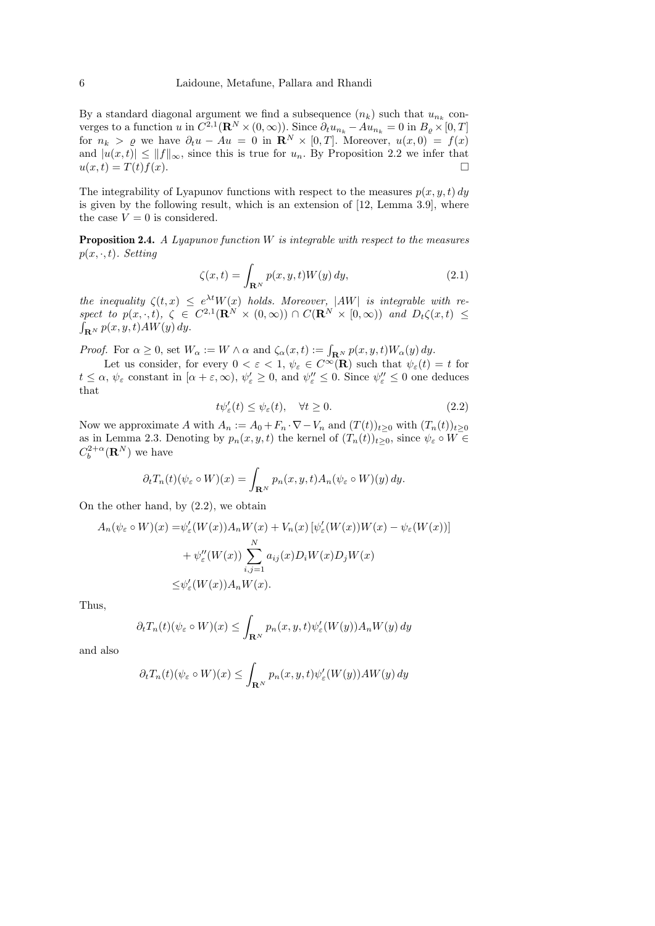By a standard diagonal argument we find a subsequence  $(n_k)$  such that  $u_{n_k}$  converges to a function u in  $C^{2,1}(\mathbf{R}^N\times(0,\infty))$ . Since  $\partial_t u_{n_k} - A u_{n_k} = 0$  in  $B_{\varrho}\times[0,T]$ for  $n_k > \varrho$  we have  $\partial_t u - Au = 0$  in  $\mathbb{R}^N \times [0,T]$ . Moreover,  $u(x,0) = f(x)$ and  $|u(x,t)| \le ||f||_{\infty}$ , since this is true for  $u_n$ . By Proposition 2.2 we infer that  $u(x,t) = T(t)f(x).$ 

The integrability of Lyapunov functions with respect to the measures  $p(x, y, t) dy$ is given by the following result, which is an extension of [12, Lemma 3.9], where the case  ${\cal V}=0$  is considered.

**Proposition 2.4.** A Lyapunov function  $W$  is integrable with respect to the measures  $p(x, \cdot, t)$ . Setting

$$
\zeta(x,t) = \int_{\mathbf{R}^N} p(x,y,t)W(y) \, dy,\tag{2.1}
$$

the inequality  $\zeta(t,x) \leq e^{\lambda t} W(x)$  holds. Moreover,  $|AW|$  is integrable with respect to  $p(x, \cdot, t)$ ,  $\zeta \in C^{2,1}(\mathbf{R}^N \times (0, \infty)) \cap C(\mathbf{R}^N \times (0, \infty))$  and  $D_t\zeta(x, t) \leq$  $\int_{\mathbf{R}^N} p(x, y, t) AW(y) dy.$ 

*Proof.* For  $\alpha \ge 0$ , set  $W_{\alpha} := W \wedge \alpha$  and  $\zeta_{\alpha}(x, t) := \int_{\mathbf{R}^N} p(x, y, t) W_{\alpha}(y) dy$ .

Let us consider, for every  $0 < \varepsilon < 1$ ,  $\psi_{\varepsilon} \in C^{\infty}(\mathbf{R})$  such that  $\psi_{\varepsilon}(t) = t$  for  $t \leq \alpha$ ,  $\psi_{\varepsilon}$  constant in  $[\alpha + \varepsilon, \infty)$ ,  $\psi_{\varepsilon}' \geq 0$ , and  $\psi_{\varepsilon}'' \leq 0$ . Since  $\psi_{\varepsilon}'' \leq 0$  one deduces that

$$
t\psi_{\varepsilon}'(t) \le \psi_{\varepsilon}(t), \quad \forall t \ge 0. \tag{2.2}
$$

Now we approximate A with  $A_n := A_0 + F_n \cdot \nabla - V_n$  and  $(T(t))_{t\geq 0}$  with  $(T_n(t))_{t\geq 0}$ as in Lemma 2.3. Denoting by  $p_n(x, y, t)$  the kernel of  $(T_n(t))_{t>0}$ , since  $\psi_{\varepsilon} \circ W \in$  $C_b^{2+\alpha}(\mathbf{R}^N)$  we have

$$
\partial_t T_n(t)(\psi_{\varepsilon} \circ W)(x) = \int_{\mathbf{R}^N} p_n(x, y, t) A_n(\psi_{\varepsilon} \circ W)(y) dy.
$$

On the other hand, by (2.2), we obtain

$$
A_n(\psi_{\varepsilon} \circ W)(x) = \psi_{\varepsilon}'(W(x))A_nW(x) + V_n(x)[\psi_{\varepsilon}'(W(x))W(x) - \psi_{\varepsilon}(W(x))]
$$

$$
+ \psi_{\varepsilon}''(W(x))\sum_{i,j=1}^N a_{ij}(x)D_iW(x)D_jW(x)
$$

$$
\leq \psi_{\varepsilon}'(W(x))A_nW(x).
$$

Thus,

$$
\partial_t T_n(t)(\psi_\varepsilon \circ W)(x) \le \int_{\mathbf{R}^N} p_n(x, y, t) \psi_\varepsilon'(W(y)) A_n W(y) dy
$$

and also

$$
\partial_t T_n(t)(\psi_{\varepsilon} \circ W)(x) \le \int_{\mathbf{R}^N} p_n(x, y, t) \psi_{\varepsilon}'(W(y)) A W(y) dy
$$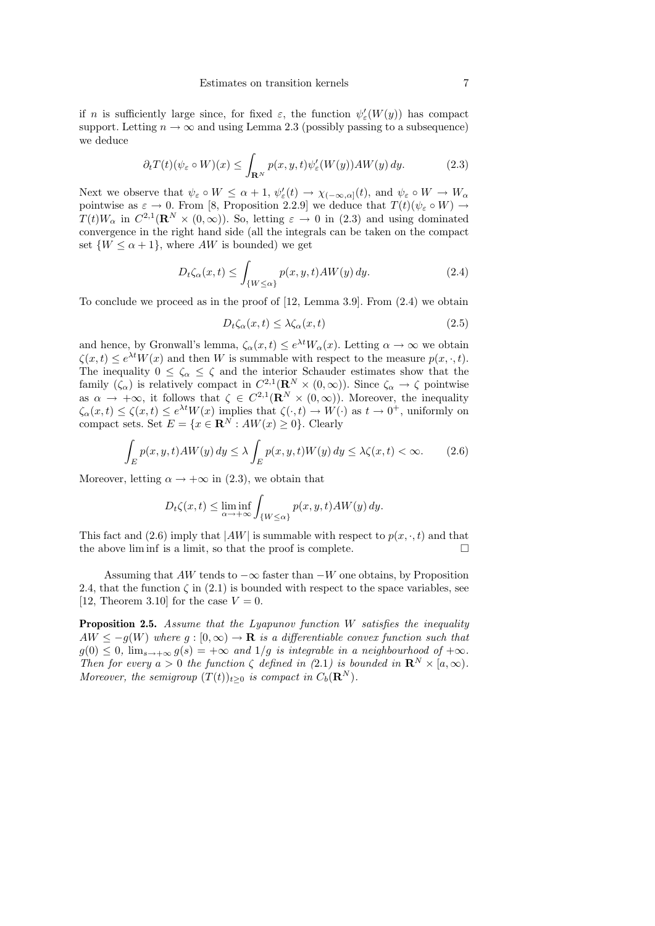if n is sufficiently large since, for fixed  $\varepsilon$ , the function  $\psi_{\varepsilon}'(W(y))$  has compact support. Letting  $n \to \infty$  and using Lemma 2.3 (possibly passing to a subsequence) we deduce

$$
\partial_t T(t)(\psi_\varepsilon \circ W)(x) \le \int_{\mathbf{R}^N} p(x, y, t) \psi_\varepsilon'(W(y)) A W(y) dy. \tag{2.3}
$$

Next we observe that  $\psi_{\varepsilon} \circ W \leq \alpha + 1$ ,  $\psi_{\varepsilon}'(t) \to \chi_{(-\infty,\alpha]}(t)$ , and  $\psi_{\varepsilon} \circ W \to W_{\alpha}$ pointwise as  $\varepsilon \to 0$ . From [8, Proposition 2.2.9] we deduce that  $T(t)(\psi_{\varepsilon} \circ W) \to$  $T(t)W_{\alpha}$  in  $C^{2,1}(\mathbf{R}^N\times(0,\infty))$ . So, letting  $\varepsilon\to 0$  in  $(2.3)$  and using dominated convergence in the right hand side (all the integrals can be taken on the compact set  $\{W \le \alpha + 1\}$ , where  $AW$  is bounded) we get

$$
D_t \zeta_\alpha(x,t) \le \int_{\{W \le \alpha\}} p(x,y,t) AW(y) dy. \tag{2.4}
$$

To conclude we proceed as in the proof of [12, Lemma 3.9]. From (2.4) we obtain

$$
D_t \zeta_\alpha(x,t) \le \lambda \zeta_\alpha(x,t) \tag{2.5}
$$

and hence, by Gronwall's lemma,  $\zeta_\alpha(x,t) \leq e^{\lambda t} W_\alpha(x)$ . Letting  $\alpha \to \infty$  we obtain  $\zeta(x,t) \leq e^{\lambda t} W(x)$  and then W is summable with respect to the measure  $p(x, \cdot, t)$ . The inequality  $0 \le \zeta_\alpha \le \zeta$  and the interior Schauder estimates show that the family  $(\zeta_{\alpha})$  is relatively compact in  $C^{2,1}(\mathbf{R}^N \times (0,\infty))$ . Since  $\zeta_{\alpha} \to \zeta$  pointwise as  $\alpha \to +\infty$ , it follows that  $\zeta \in C^{2,1}(\mathbb{R}^N \times (0,\infty))$ . Moreover, the inequality  $\zeta_{\alpha}(x,t) \leq \zeta(x,t) \leq e^{\lambda t} W(x)$  implies that  $\zeta(\cdot,t) \to W(\cdot)$  as  $t \to 0^+$ , uniformly on compact sets. Set  $E = \{x \in \mathbb{R}^N : AW(x) \ge 0\}$ . Clearly

$$
\int_{E} p(x, y, t) AW(y) dy \le \lambda \int_{E} p(x, y, t) W(y) dy \le \lambda \zeta(x, t) < \infty.
$$
 (2.6)

Moreover, letting  $\alpha \rightarrow +\infty$  in (2.3), we obtain that

$$
D_t\zeta(x,t) \le \liminf_{\alpha \to +\infty} \int_{\{W \le \alpha\}} p(x,y,t)AW(y) dy.
$$

This fact and (2.6) imply that  $|AW|$  is summable with respect to  $p(x, \cdot, t)$  and that the above limit is a limit, so that the proof is complete.  $\Box$ 

Assuming that  $AW$  tends to  $-\infty$  faster than  $-W$  one obtains, by Proposition 2.4, that the function  $\zeta$  in (2.1) is bounded with respect to the space variables, see [12, Theorem 3.10] for the case  $V = 0$ .

Proposition 2.5. Assume that the Lyapunov function W satisfies the inequality  $AW \leq -g(W)$  where  $g : [0, \infty) \to \mathbf{R}$  is a differentiable convex function such that  $g(0) \leq 0$ ,  $\lim_{s \to +\infty} g(s) = +\infty$  and  $1/g$  is integrable in a neighbourhood of  $+\infty$ . Then for every  $a > 0$  the function  $\zeta$  defined in  $(2.1)$  is bounded in  $\mathbb{R}^N \times [a, \infty)$ . Moreover, the semigroup  $(T(t))_{t>0}$  is compact in  $C_b(\mathbf{R}^N)$ .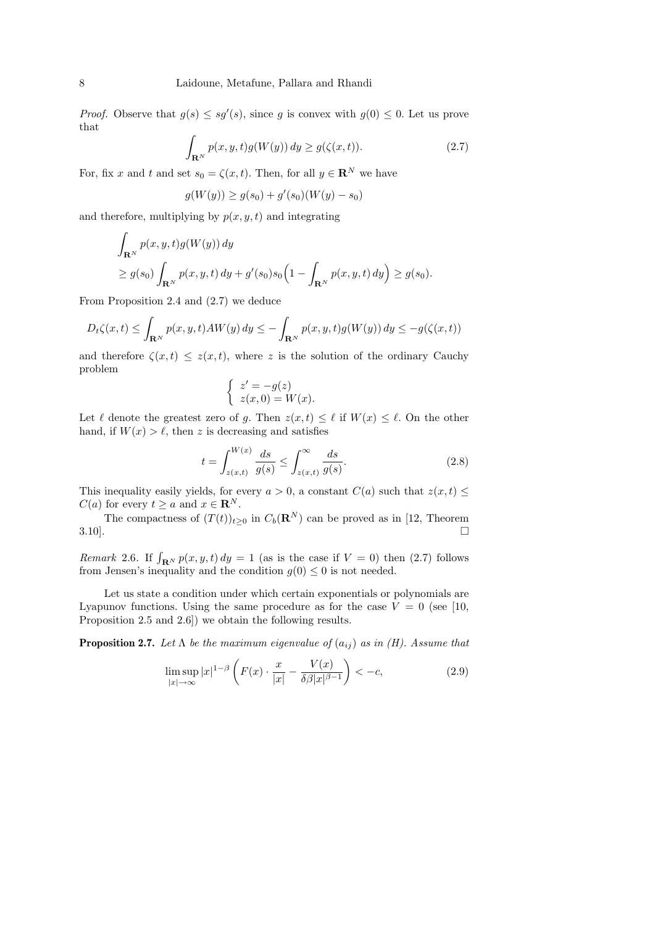*Proof.* Observe that  $g(s) \leq sg'(s)$ , since g is convex with  $g(0) \leq 0$ . Let us prove that

$$
\int_{\mathbf{R}^N} p(x, y, t) g(W(y)) dy \ge g(\zeta(x, t)).
$$
\n(2.7)

For, fix x and t and set  $s_0 = \zeta(x, t)$ . Then, for all  $y \in \mathbb{R}^N$  we have

$$
g(W(y)) \ge g(s_0) + g'(s_0)(W(y) - s_0)
$$

and therefore, multiplying by  $p(x, y, t)$  and integrating

$$
\int_{\mathbf{R}^N} p(x, y, t) g(W(y)) dy
$$
\n
$$
\ge g(s_0) \int_{\mathbf{R}^N} p(x, y, t) dy + g'(s_0) s_0 \Big( 1 - \int_{\mathbf{R}^N} p(x, y, t) dy \Big) \ge g(s_0).
$$

From Proposition 2.4 and (2.7) we deduce

$$
D_t\zeta(x,t) \le \int_{\mathbf{R}^N} p(x,y,t)AW(y) dy \le -\int_{\mathbf{R}^N} p(x,y,t)g(W(y)) dy \le -g(\zeta(x,t))
$$

and therefore  $\zeta(x,t) \leq z(x,t)$ , where z is the solution of the ordinary Cauchy problem

$$
\begin{cases}\nz' = -g(z) \\
z(x,0) = W(x).\n\end{cases}
$$

Let  $\ell$  denote the greatest zero of g. Then  $z(x, t) \leq \ell$  if  $W(x) \leq \ell$ . On the other hand, if  $W(x) > \ell$ , then z is decreasing and satisfies

$$
t = \int_{z(x,t)}^{W(x)} \frac{ds}{g(s)} \le \int_{z(x,t)}^{\infty} \frac{ds}{g(s)}.\tag{2.8}
$$

This inequality easily yields, for every  $a > 0$ , a constant  $C(a)$  such that  $z(x, t) \leq$  $C(a)$  for every  $t \ge a$  and  $x \in \mathbb{R}^N$ .

The compactness of  $(T(t))_{t\geq0}$  in  $C_b(\mathbf{R}^N)$  can be proved as in [12, Theorem  $3.10$ .

Remark 2.6. If  $\int_{\mathbf{R}^N} p(x, y, t) dy = 1$  (as is the case if  $V = 0$ ) then (2.7) follows from Jensen's inequality and the condition  $g(0) \leq 0$  is not needed.

Let us state a condition under which certain exponentials or polynomials are Lyapunov functions. Using the same procedure as for the case  $V = 0$  (see [10, Proposition 2.5 and 2.6]) we obtain the following results.

**Proposition 2.7.** Let  $\Lambda$  be the maximum eigenvalue of  $(a_{ij})$  as in (H). Assume that

$$
\limsup_{|x| \to \infty} |x|^{1-\beta} \left( F(x) \cdot \frac{x}{|x|} - \frac{V(x)}{\delta \beta |x|^{\beta - 1}} \right) < -c,\tag{2.9}
$$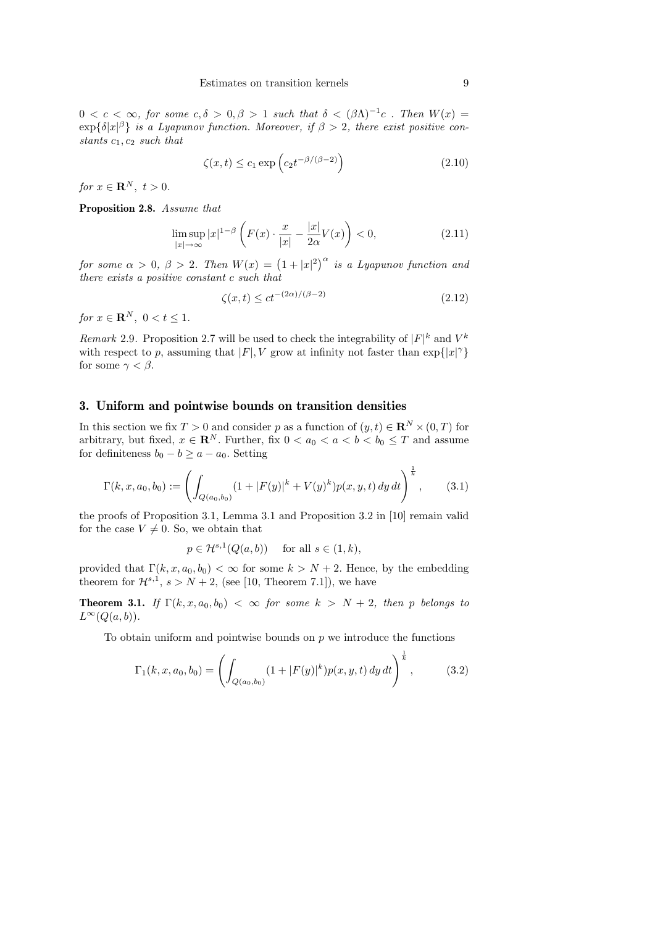$0 < c < \infty$ , for some  $c, \delta > 0, \beta > 1$  such that  $\delta < (\beta \Lambda)^{-1}c$ . Then  $W(x) =$  $\exp{\{\delta|x|^{\beta}\}}$  is a Lyapunov function. Moreover, if  $\beta > 2$ , there exist positive constants  $c_1, c_2$  such that

$$
\zeta(x,t) \le c_1 \exp\left(c_2 t^{-\beta/(\beta - 2)}\right) \tag{2.10}
$$

for  $x \in \mathbf{R}^N$ ,  $t > 0$ .

Proposition 2.8. Assume that

$$
\limsup_{|x| \to \infty} |x|^{1-\beta} \left( F(x) \cdot \frac{x}{|x|} - \frac{|x|}{2\alpha} V(x) \right) < 0,\tag{2.11}
$$

for some  $\alpha > 0$ ,  $\beta > 2$ . Then  $W(x) = (1 + |x|^2)^{\alpha}$  is a Lyapunov function and there exists a positive constant c such that

$$
\zeta(x,t) \le ct^{-(2\alpha)/(\beta - 2)}\tag{2.12}
$$

for  $x \in \mathbf{R}^N$ ,  $0 < t < 1$ .

Remark 2.9. Proposition 2.7 will be used to check the integrability of  $|F|^k$  and  $V^k$ with respect to p, assuming that  $|F|$ , V grow at infinity not faster than  $\exp\{|x|^{\gamma}\}$ for some  $\gamma < \beta$ .

#### 3. Uniform and pointwise bounds on transition densities

In this section we fix  $T > 0$  and consider p as a function of  $(y, t) \in \mathbb{R}^N \times (0, T)$  for arbitrary, but fixed,  $x \in \mathbb{R}^N$ . Further, fix  $0 < a_0 < a < b < b_0 \leq T$  and assume for definiteness  $b_0 - b \ge a - a_0$ . Setting

$$
\Gamma(k, x, a_0, b_0) := \left( \int_{Q(a_0, b_0)} (1 + |F(y)|^k + V(y)^k) p(x, y, t) \, dy \, dt \right)^{\frac{1}{k}}, \tag{3.1}
$$

the proofs of Proposition 3.1, Lemma 3.1 and Proposition 3.2 in [10] remain valid for the case  $V \neq 0$ . So, we obtain that

$$
p \in \mathcal{H}^{s,1}(Q(a,b)) \quad \text{ for all } s \in (1,k),
$$

provided that  $\Gamma(k, x, a_0, b_0) < \infty$  for some  $k > N + 2$ . Hence, by the embedding theorem for  $\mathcal{H}^{s,1}$ ,  $s > N+2$ , (see [10, Theorem 7.1]), we have

**Theorem 3.1.** If  $\Gamma(k, x, a_0, b_0) < \infty$  for some  $k > N + 2$ , then p belongs to  $L^{\infty}(Q(a, b)).$ 

To obtain uniform and pointwise bounds on  $p$  we introduce the functions

$$
\Gamma_1(k, x, a_0, b_0) = \left( \int_{Q(a_0, b_0)} (1 + |F(y)|^k) p(x, y, t) \, dy \, dt \right)^{\frac{1}{k}}, \tag{3.2}
$$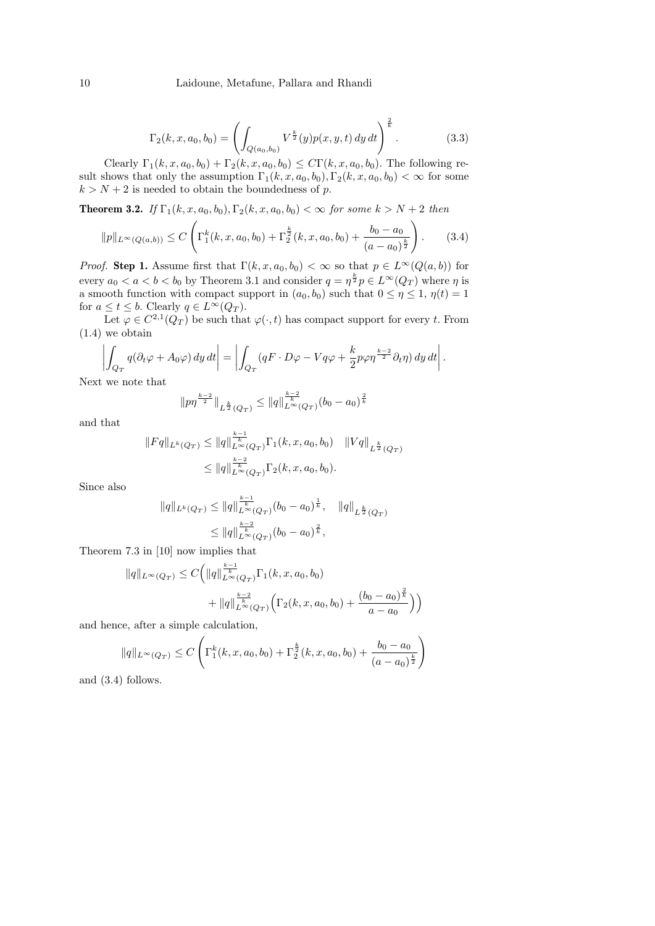#### 10 Laidoune, Metafune, Pallara and Rhandi

$$
\Gamma_2(k, x, a_0, b_0) = \left( \int_{Q(a_0, b_0)} V^{\frac{k}{2}}(y) p(x, y, t) \, dy \, dt \right)^{\frac{2}{k}}.
$$
\n(3.3)

Clearly  $\Gamma_1(k, x, a_0, b_0) + \Gamma_2(k, x, a_0, b_0) \leq C\Gamma(k, x, a_0, b_0)$ . The following result shows that only the assumption  $\Gamma_1(k, x, a_0, b_0)$ ,  $\Gamma_2(k, x, a_0, b_0) < \infty$  for some  $k > N + 2$  is needed to obtain the boundedness of p.

**Theorem 3.2.** If  $\Gamma_1(k, x, a_0, b_0), \Gamma_2(k, x, a_0, b_0) < \infty$  for some  $k > N + 2$  then

$$
||p||_{L^{\infty}(Q(a,b))} \leq C \left( \Gamma_1^k(k, x, a_0, b_0) + \Gamma_2^{\frac{k}{2}}(k, x, a_0, b_0) + \frac{b_0 - a_0}{(a - a_0)^{\frac{k}{2}}} \right). \tag{3.4}
$$

*Proof.* Step 1. Assume first that  $\Gamma(k, x, a_0, b_0) < \infty$  so that  $p \in L^{\infty}(Q(a, b))$  for every  $a_0 < a < b < b_0$  by Theorem 3.1 and consider  $q = \eta^{\frac{k}{2}} p \in L^{\infty}(Q_T)$  where  $\eta$  is a smooth function with compact support in  $(a_0, b_0)$  such that  $0 \le \eta \le 1$ ,  $\eta(t) = 1$ for  $a \le t \le b$ . Clearly  $q \in L^{\infty}(Q_T)$ .

Let  $\varphi \in C^{2,1}(Q_T)$  be such that  $\varphi(\cdot,t)$  has compact support for every t. From (1.4) we obtain

$$
\left| \int_{Q_T} q(\partial_t \varphi + A_0 \varphi) \, dy \, dt \right| = \left| \int_{Q_T} (qF \cdot D\varphi - Vq\varphi + \frac{k}{2} p\varphi \eta^{\frac{k-2}{2}} \partial_t \eta) \, dy \, dt \right|.
$$
\nwe note that

Next we note that

$$
||p\eta^{\frac{k-2}{2}}||_{L^{\frac{k}{2}}(Q_T)} \leq ||q||_{L^{\infty}(Q_T)}^{\frac{k-2}{k}} (b_0 - a_0)^{\frac{2}{k}}
$$

and that

$$
||Fq||_{L^{k}(Q_T)} \leq ||q||_{L^{\infty}(Q_T)}^{\frac{k-1}{k}} \Gamma_1(k, x, a_0, b_0) ||Vq||_{L^{\frac{k}{2}}(Q_T)}
$$
  

$$
\leq ||q||_{L^{\infty}(Q_T)}^{\frac{k-2}{k}} \Gamma_2(k, x, a_0, b_0).
$$

Since also

$$
||q||_{L^{k}(Q_T)} \leq ||q||_{L^{\infty}(Q_T)}^{\frac{k-1}{k}}(b_0 - a_0)^{\frac{1}{k}}, \quad ||q||_{L^{\frac{k}{2}}(Q_T)}
$$
  

$$
\leq ||q||_{L^{\infty}(Q_T)}^{\frac{k-2}{k}}(b_0 - a_0)^{\frac{2}{k}},
$$

Theorem 7.3 in [10] now implies that

$$
||q||_{L^{\infty}(Q_T)} \leq C \Big(||q||_{L^{\infty}(Q_T)}^{\frac{k-1}{k}} \Gamma_1(k, x, a_0, b_0) + ||q||_{L^{\infty}(Q_T)}^{\frac{k-2}{k}} \Big(\Gamma_2(k, x, a_0, b_0) + \frac{(b_0 - a_0)^{\frac{2}{k}}}{a - a_0}\Big)\Big)
$$

and hence, after a simple calculation,

$$
||q||_{L^{\infty}(Q_T)} \leq C \left( \Gamma_1^k(k, x, a_0, b_0) + \Gamma_2^{\frac{k}{2}}(k, x, a_0, b_0) + \frac{b_0 - a_0}{(a - a_0)^{\frac{k}{2}}} \right)
$$

and (3.4) follows.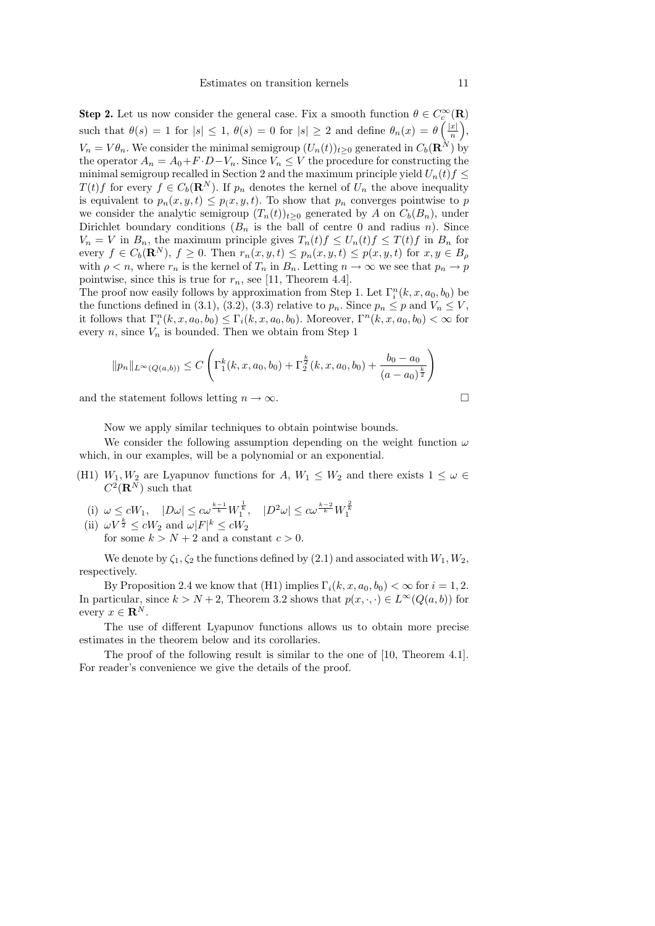**Step 2.** Let us now consider the general case. Fix a smooth function  $\theta \in C_c^{\infty}(\mathbf{R})$ such that  $\theta(s) = 1$  for  $|s| \leq 1$ ,  $\theta(s) = 0$  for  $|s| \geq 2$  and define  $\theta_n(x) = \theta\left(\frac{|x|}{n}\right)$  $\frac{x|}{n}\bigg),$  $V_n = V\theta_n$ . We consider the minimal semigroup  $(U_n(t))_{t\geq 0}$  generated in  $C_b(\mathbf{R}^N)$  by the operator  $A_n = A_0 + F \cdot D - V_n$ . Since  $V_n \leq V$  the procedure for constructing the minimal semigroup recalled in Section 2 and the maximum principle yield  $U_n(t)f \leq$  $T(t)$  f for every  $f \in C_b(\mathbf{R}^N)$ . If  $p_n$  denotes the kernel of  $U_n$  the above inequality is equivalent to  $p_n(x, y, t) \leq p(x, y, t)$ . To show that  $p_n$  converges pointwise to p we consider the analytic semigroup  $(T_n(t))_{t>0}$  generated by A on  $C_b(B_n)$ , under Dirichlet boundary conditions  $(B_n$  is the ball of centre 0 and radius n). Since  $V_n = V$  in  $B_n$ , the maximum principle gives  $T_n(t)f \leq U_n(t)f \leq T(t)f$  in  $B_n$  for every  $f \in C_b(\mathbf{R}^N)$ ,  $f \geq 0$ . Then  $r_n(x, y, t) \leq p_n(x, y, t) \leq p(x, y, t)$  for  $x, y \in B_\rho$ with  $\rho < n$ , where  $r_n$  is the kernel of  $T_n$  in  $B_n$ . Letting  $n \to \infty$  we see that  $p_n \to p$ pointwise, since this is true for  $r_n$ , see [11, Theorem 4.4].

The proof now easily follows by approximation from Step 1. Let  $\Gamma_i^n(k, x, a_0, b_0)$  be the functions defined in (3.1), (3.2), (3.3) relative to  $p_n$ . Since  $p_n \leq p$  and  $V_n \leq V$ , it follows that  $\Gamma_i^n(k, x, a_0, b_0) \leq \Gamma_i(k, x, a_0, b_0)$ . Moreover,  $\Gamma^n(k, x, a_0, b_0) < \infty$  for every n, since  $V_n$  is bounded. Then we obtain from Step 1

$$
||p_n||_{L^{\infty}(Q(a,b))} \leq C \left( \Gamma_1^k(k, x, a_0, b_0) + \Gamma_2^{\frac{k}{2}}(k, x, a_0, b_0) + \frac{b_0 - a_0}{(a - a_0)^{\frac{k}{2}}} \right)
$$

and the statement follows letting  $n \to \infty$ .

Now we apply similar techniques to obtain pointwise bounds.

We consider the following assumption depending on the weight function  $\omega$ which, in our examples, will be a polynomial or an exponential.

- (H1)  $W_1, W_2$  are Lyapunov functions for A,  $W_1 \leq W_2$  and there exists  $1 \leq \omega \in$  $C^2(\mathbf{R}^N)$  such that
	- (i)  $\omega \le cW_1$ ,  $|D\omega| \le c\omega^{\frac{k-1}{k}} W_1^{\frac{1}{k}}$ ,  $|D^2\omega| \le c\omega^{\frac{k-2}{k}} W_1^{\frac{2}{k}}$

(ii)  $\omega V^{\frac{k}{2}} \leq cW_2$  and  $\omega |F|^k \leq cW_2$ for some  $k > N + 2$  and a constant  $c > 0$ .

We denote by  $\zeta_1, \zeta_2$  the functions defined by (2.1) and associated with  $W_1, W_2$ , respectively.

By Proposition 2.4 we know that (H1) implies  $\Gamma_i(k, x, a_0, b_0) < \infty$  for  $i = 1, 2$ . In particular, since  $k > N + 2$ , Theorem 3.2 shows that  $p(x, \cdot, \cdot) \in L^{\infty}(Q(a, b))$  for every  $x \in \mathbf{R}^N$ .

The use of different Lyapunov functions allows us to obtain more precise estimates in the theorem below and its corollaries.

The proof of the following result is similar to the one of [10, Theorem 4.1]. For reader's convenience we give the details of the proof.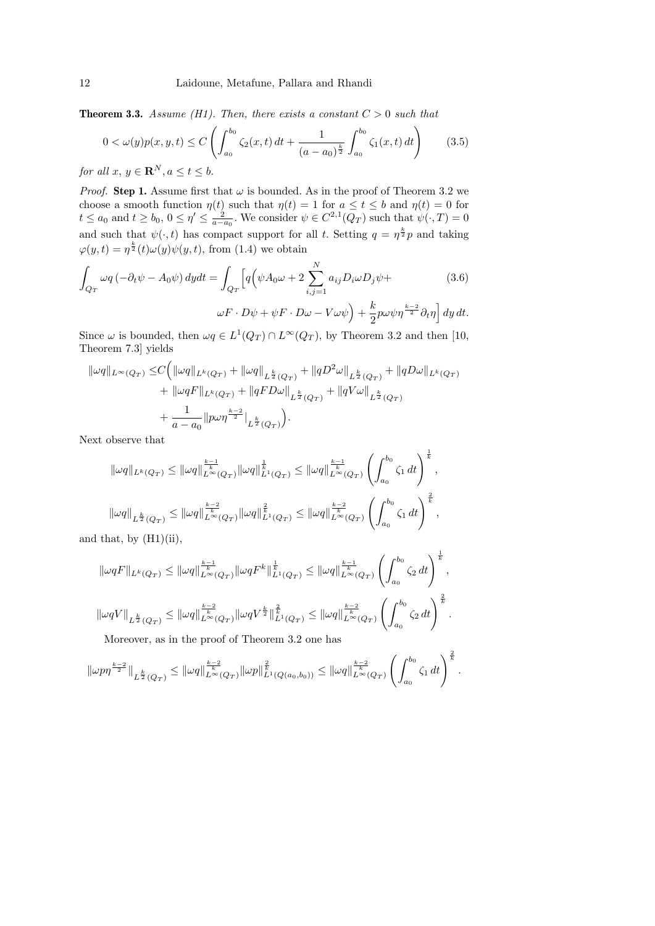**Theorem 3.3.** Assume (H1). Then, there exists a constant  $C > 0$  such that

$$
0 < \omega(y)p(x, y, t) \le C \left( \int_{a_0}^{b_0} \zeta_2(x, t) dt + \frac{1}{(a - a_0)^{\frac{k}{2}}} \int_{a_0}^{b_0} \zeta_1(x, t) dt \right) \tag{3.5}
$$

for all  $x, y \in \mathbf{R}^{N}, a \leq t \leq b$ .

*Proof.* Step 1. Assume first that  $\omega$  is bounded. As in the proof of Theorem 3.2 we choose a smooth function  $\eta(t)$  such that  $\eta(t) = 1$  for  $a \le t \le b$  and  $\eta(t) = 0$  for  $t \le a_0$  and  $t \ge b_0$ ,  $0 \le \eta' \le \frac{2}{a-a_0}$ . We consider  $\psi \in C^{2,1}(Q_T)$  such that  $\psi(\cdot,T) = 0$ and such that  $\psi(\cdot, t)$  has compact support for all t. Setting  $q = \eta^{\frac{k}{2}} p$  and taking  $\varphi(y,t) = \eta^{\frac{k}{2}}(t)\omega(y)\psi(y,t)$ , from (1.4) we obtain

$$
\int_{Q_T} \omega q \left( -\partial_t \psi - A_0 \psi \right) dy dt = \int_{Q_T} \left[ q \left( \psi A_0 \omega + 2 \sum_{i,j=1}^N a_{ij} D_i \omega D_j \psi + \omega F \cdot D \psi + \psi F \cdot D \omega - V \omega \psi \right) + \frac{k}{2} p \omega \psi \eta^{\frac{k-2}{2}} \partial_t \eta \right] dy dt.
$$
\n(3.6)

Since  $\omega$  is bounded, then  $\omega q \in L^1(Q_T) \cap L^\infty(Q_T)$ , by Theorem 3.2 and then [10, Theorem 7.3] yields

$$
\| \omega q \|_{L^{\infty}(Q_T)} \leq C \Big( \| \omega q \|_{L^k(Q_T)} + \| \omega q \|_{L^{\frac{k}{2}}(Q_T)} + \| q D^2 \omega \|_{L^{\frac{k}{2}}(Q_T)} + \| q D \omega \|_{L^k(Q_T)} + \| \omega q F \|_{L^k(Q_T)} + \| q F D \omega \|_{L^{\frac{k}{2}}(Q_T)} + \| q V \omega \|_{L^{\frac{k}{2}}(Q_T)} + \frac{1}{a - a_0} \| p \omega \eta^{\frac{k-2}{2}} |_{L^{\frac{k}{2}}(Q_T)} \Big).
$$

Next observe that

$$
\begin{aligned} \|\omega q\|_{L^k(Q_T)} &\leq \|\omega q\|_{L^\infty(Q_T)}^{\frac{k-1}{k}} \|\omega q\|_{L^1(Q_T)}^{\frac{1}{k}} \leq \|\omega q\|_{L^\infty(Q_T)}^{\frac{k-1}{k}} \left(\int_{a_0}^{b_0} \zeta_1 \, dt\right)^{\frac{1}{k}},\\ \|\omega q\|_{L^{\frac{k}{2}}(Q_T)} &\leq \|\omega q\|_{L^\infty(Q_T)}^{\frac{k-2}{k}} \|\omega q\|_{L^1(Q_T)}^{\frac{2}{k}} \leq \|\omega q\|_{L^\infty(Q_T)}^{\frac{k-2}{k}} \left(\int_{a_0}^{b_0} \zeta_1 \, dt\right)^{\frac{2}{k}},\\ \text{at } &\text{by (H1)(ii)} \end{aligned}
$$

and that, by (H1)(ii),

$$
\begin{aligned} \|\omega qF\|_{L^k(Q_T)} &\leq \|\omega q\|_{L^\infty(Q_T)}^{\frac{k-1}{k}}\|\omega qF^k\|_{L^1(Q_T)}^{\frac{1}{k}} \leq \|\omega q\|_{L^\infty(Q_T)}^{\frac{k-1}{k}}\left(\int_{a_0}^{b_0}\zeta_2\,dt\right)^{\frac{1}{k}},\\ \|\omega qV\|_{L^{\frac{k}{2}}(Q_T)} &\leq \|\omega q\|_{L^\infty(Q_T)}^{\frac{k-2}{k}}\|\omega qV^{\frac{k}{2}}\|_{L^1(Q_T)}^{\frac{2}{k}} \leq \|\omega q\|_{L^\infty(Q_T)}^{\frac{k-2}{k}}\left(\int_{a_0}^{b_0}\zeta_2\,dt\right)^{\frac{2}{k}}. \end{aligned}
$$

Moreover, as in the proof of Theorem 3.2 one has

$$
\|\omega p\eta^{\frac{k-2}{2}}\|_{L^{\frac{k}{2}}(Q_T)} \leq \|\omega q\|_{L^{\infty}(Q_T)}^{\frac{k-2}{k}}\|\omega p\|_{L^1(Q(a_0,b_0))}^{\frac{2}{k}} \leq \|\omega q\|_{L^{\infty}(Q_T)}^{\frac{k-2}{k}}\left(\int_{a_0}^{b_0} \zeta_1 dt\right)^{\frac{2}{k}}.
$$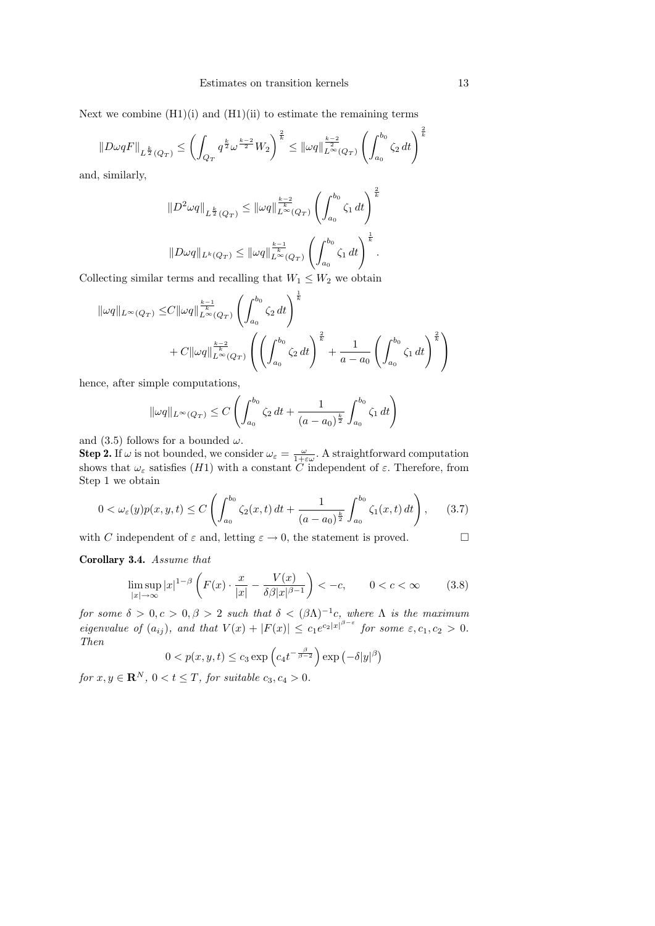Next we combine  $(H1)(i)$  and  $(H1)(ii)$  to estimate the remaining terms

$$
||D\omega qF||_{L^{\frac{k}{2}}(Q_T)} \leq \left(\int_{Q_T} q^{\frac{k}{2}} \omega^{\frac{k-2}{2}} W_2\right)^{\frac{2}{k}} \leq ||\omega q||_{L^{\infty}(Q_T)}^{\frac{k-2}{2}} \left(\int_{a_0}^{b_0} \zeta_2 dt\right)^{\frac{2}{k}}
$$

and, similarly,

$$
||D^2 \omega q||_{L^{\frac{k}{2}}(Q_T)} \le ||\omega q||_{L^{\infty}(Q_T)}^{\frac{k-2}{k}} \left(\int_{a_0}^{b_0} \zeta_1 dt\right)^{\frac{2}{k}}
$$
  

$$
||D\omega q||_{L^k(Q_T)} \le ||\omega q||_{L^{\infty}(Q_T)}^{\frac{k-1}{k}} \left(\int_{a_0}^{b_0} \zeta_1 dt\right)^{\frac{1}{k}}.
$$

Collecting similar terms and recalling that  $W_1 \leq W_2$  we obtain

$$
\| \omega q \|_{L^{\infty}(Q_T)} \leq C \| \omega q \|_{L^{\infty}(Q_T)}^{\frac{k-1}{k}} \left( \int_{a_0}^{b_0} \zeta_2 dt \right)^{\frac{1}{k}} + C \| \omega q \|_{L^{\infty}(Q_T)}^{\frac{k-2}{k}} \left( \left( \int_{a_0}^{b_0} \zeta_2 dt \right)^{\frac{2}{k}} + \frac{1}{a - a_0} \left( \int_{a_0}^{b_0} \zeta_1 dt \right)^{\frac{2}{k}} \right)
$$

hence, after simple computations,

$$
\|\omega q\|_{L^{\infty}(Q_T)} \leq C \left( \int_{a_0}^{b_0} \zeta_2 dt + \frac{1}{(a - a_0)^{\frac{k}{2}}} \int_{a_0}^{b_0} \zeta_1 dt \right)
$$

and (3.5) follows for a bounded  $\omega$ .

**Step 2.** If  $\omega$  is not bounded, we consider  $\omega_{\varepsilon} = \frac{\omega}{1+\varepsilon\omega}$ . A straightforward computation shows that  $\omega_{\varepsilon}$  satisfies  $(H1)$  with a constant C independent of  $\varepsilon$ . Therefore, from Step 1 we obtain

$$
0 < \omega_{\varepsilon}(y)p(x,y,t) \le C \left( \int_{a_0}^{b_0} \zeta_2(x,t) \, dt + \frac{1}{(a-a_0)^{\frac{k}{2}}} \int_{a_0}^{b_0} \zeta_1(x,t) \, dt \right), \tag{3.7}
$$

with C independent of  $\varepsilon$  and, letting  $\varepsilon \to 0$ , the statement is proved.

Corollary 3.4. Assume that

$$
\limsup_{|x| \to \infty} |x|^{1-\beta} \left( F(x) \cdot \frac{x}{|x|} - \frac{V(x)}{\delta \beta |x|^{\beta - 1}} \right) < -c, \qquad 0 < c < \infty \tag{3.8}
$$

for some  $\delta > 0, c > 0, \beta > 2$  such that  $\delta < (\beta \Lambda)^{-1}c$ , where  $\Lambda$  is the maximum eigenvalue of  $(a_{ij})$ , and that  $V(x) + |F(x)| \leq c_1 e^{c_2|x|^{\beta-\varepsilon}}$  for some  $\varepsilon, c_1, c_2 > 0$ . Then β

$$
0 < p(x, y, t) \le c_3 \exp\left(c_4 t^{-\frac{\beta}{\beta - 2}}\right) \exp\left(-\delta |y|^{\beta}\right)
$$

for  $x, y \in \mathbf{R}^N$ ,  $0 < t \leq T$ , for suitable  $c_3, c_4 > 0$ .

 $\frac{2}{k}$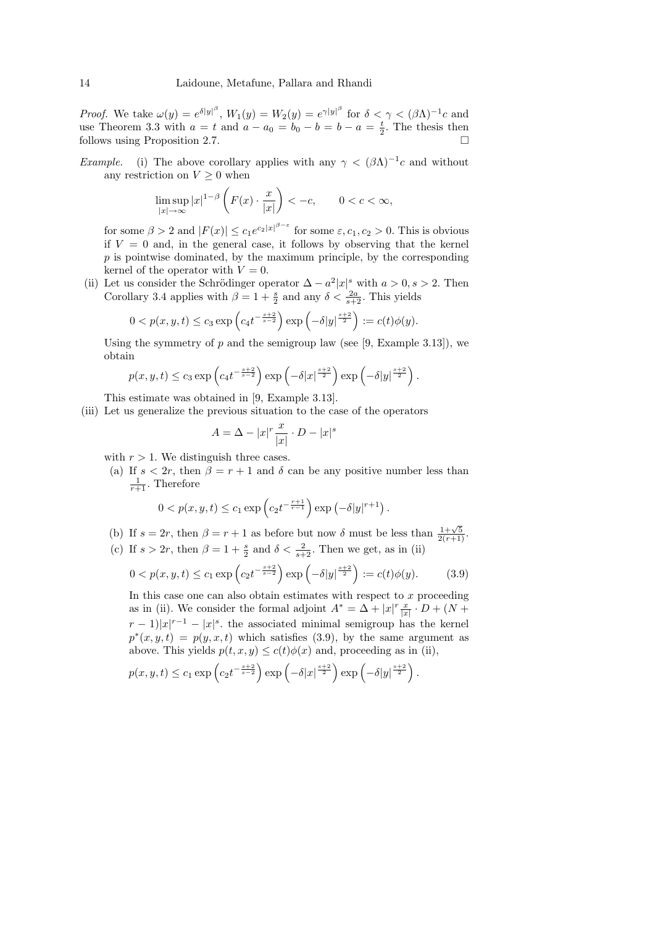*Proof.* We take  $\omega(y) = e^{\delta |y|^{\beta}}$ ,  $W_1(y) = W_2(y) = e^{\gamma |y|^{\beta}}$  for  $\delta < \gamma < (\beta \Lambda)^{-1}c$  and use Theorem 3.3 with  $a = t$  and  $a - a_0 = b_0 - b = b - a = \frac{t}{2}$ . The thesis then follows using Proposition 2.7.

*Example.* (i) The above corollary applies with any  $\gamma < (\beta \Lambda)^{-1}c$  and without any restriction on  $V \geq 0$  when

$$
\limsup_{|x| \to \infty} |x|^{1-\beta} \left( F(x) \cdot \frac{x}{|x|} \right) < -c, \qquad 0 < c < \infty,
$$

for some  $\beta > 2$  and  $|F(x)| \leq c_1 e^{c_2 |x|^{\beta - \varepsilon}}$  for some  $\varepsilon, c_1, c_2 > 0$ . This is obvious if  $V = 0$  and, in the general case, it follows by observing that the kernel  $p$  is pointwise dominated, by the maximum principle, by the corresponding kernel of the operator with  $V = 0$ .

(ii) Let us consider the Schrödinger operator  $\Delta - a^2 |x|^s$  with  $a > 0, s > 2$ . Then Corollary 3.4 applies with  $\beta = 1 + \frac{s}{2}$  and any  $\delta < \frac{2a}{s+2}$ . This yields

$$
0 < p(x, y, t) \le c_3 \exp\left(c_4 t^{-\frac{s+2}{s-2}}\right) \exp\left(-\delta |y|^{\frac{s+2}{2}}\right) := c(t)\phi(y).
$$

Using the symmetry of  $p$  and the semigroup law (see [9, Example 3.13]), we obtain

$$
p(x, y, t) \leq c_3 \exp\left(c_4 t^{-\frac{s+2}{s-2}}\right) \exp\left(-\delta |x|^{\frac{s+2}{2}}\right) \exp\left(-\delta |y|^{\frac{s+2}{2}}\right).
$$

This estimate was obtained in [9, Example 3.13].

(iii) Let us generalize the previous situation to the case of the operators

$$
A = \Delta - |x|^r \frac{x}{|x|} \cdot D - |x|^s
$$

with  $r > 1$ . We distinguish three cases.

(a) If  $s < 2r$ , then  $\beta = r + 1$  and  $\delta$  can be any positive number less than  $\frac{1}{r+1}$ . Therefore

$$
0 < p(x, y, t) \le c_1 \exp\left(c_2 t^{-\frac{r+1}{r-1}}\right) \exp\left(-\delta |y|^{r+1}\right).
$$

(b) If  $s = 2r$ , then  $\beta = r + 1$  as before but now  $\delta$  must be less than  $\frac{1+\sqrt{5}}{2(r+1)}$ . (c) If  $s > 2r$ , then  $\beta = 1 + \frac{s}{2}$  and  $\delta < \frac{2}{s+2}$ . Then we get, as in (ii)

$$
0 < p(x, y, t) \le c_1 \exp\left(c_2 t^{-\frac{s+2}{s-2}}\right) \exp\left(-\delta |y|^{\frac{s+2}{2}}\right) := c(t)\phi(y). \tag{3.9}
$$

In this case one can also obtain estimates with respect to  $x$  proceeding as in (ii). We consider the formal adjoint  $A^* = \Delta + |x|^r \frac{x}{|x|} \cdot D + (N +$  $(r-1)|x|^{r-1} - |x|^s$ , the associated minimal semigroup has the kernel  $p^*(x, y, t) = p(y, x, t)$  which satisfies (3.9), by the same argument as above. This yields  $p(t, x, y) \leq c(t)\phi(x)$  and, proceeding as in (ii),

$$
p(x, y, t) \le c_1 \exp\left(c_2 t^{-\frac{s+2}{s-2}}\right) \exp\left(-\delta |x|^{\frac{s+2}{2}}\right) \exp\left(-\delta |y|^{\frac{s+2}{2}}\right).
$$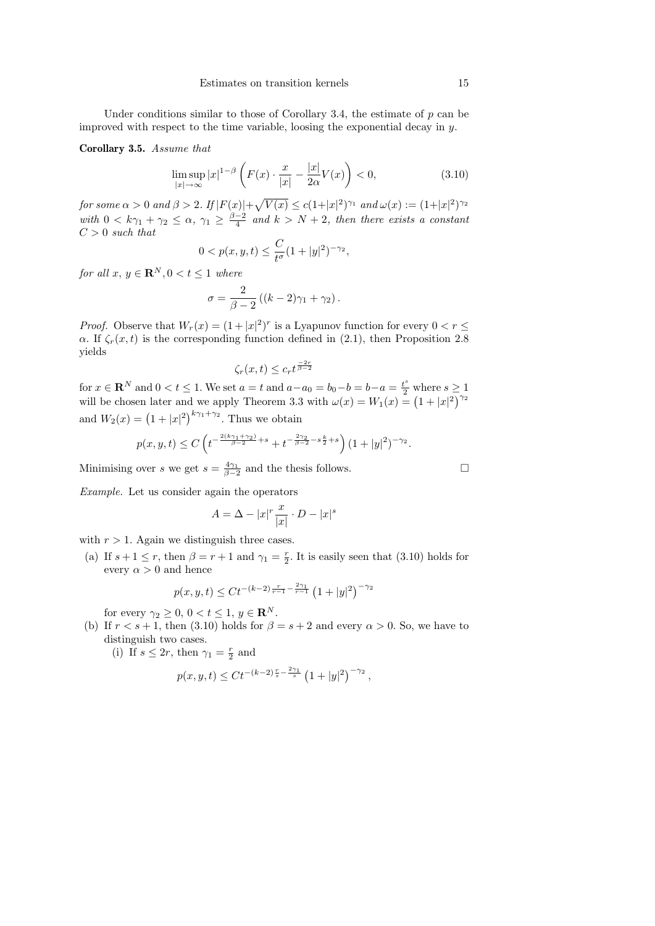Under conditions similar to those of Corollary 3.4, the estimate of  $p$  can be improved with respect to the time variable, loosing the exponential decay in y.

#### Corollary 3.5. Assume that

$$
\limsup_{|x| \to \infty} |x|^{1-\beta} \left( F(x) \cdot \frac{x}{|x|} - \frac{|x|}{2\alpha} V(x) \right) < 0,\tag{3.10}
$$

for some  $\alpha > 0$  and  $\beta > 2$ . If  $|F(x)| + \sqrt{V(x)} \le c(1+|x|^2)^{\gamma_1}$  and  $\omega(x) := (1+|x|^2)^{\gamma_2}$ with  $0 < k\gamma_1 + \gamma_2 \leq \alpha$ ,  $\gamma_1 \geq \frac{\beta-2}{4}$  and  $k > N + 2$ , then there exists a constant  ${\cal C}>0$  such that

$$
0 < p(x, y, t) \le \frac{C}{t^{\sigma}} (1 + |y|^2)^{-\gamma_2},
$$

for all  $x, y \in \mathbf{R}^{N}, 0 < t \leq 1$  where

$$
\sigma = \frac{2}{\beta - 2} \left( (k - 2)\gamma_1 + \gamma_2 \right).
$$

*Proof.* Observe that  $W_r(x) = (1 + |x|^2)^r$  is a Lyapunov function for every  $0 < r \leq$  $\alpha$ . If  $\zeta_r(x,t)$  is the corresponding function defined in (2.1), then Proposition 2.8 yields

$$
\zeta_r(x,t) \le c_r t^{\frac{-2r}{\beta-2}}
$$

for  $x \in \mathbb{R}^N$  and  $0 < t \leq 1$ . We set  $a = t$  and  $a - a_0 = b_0 - b = b - a = \frac{t^s}{2}$  where  $s \geq 1$ . will be chosen later and we apply Theorem 3.3 with  $\omega(x) = W_1(x) = (1 + |x|^2)^{\gamma_2}$ and  $W_2(x) = (1 + |x|^2)^{k\gamma_1 + \gamma_2}$ . Thus we obtain

$$
p(x,y,t) \leq C \left( t^{-\frac{2(k\gamma_1 + \gamma_2)}{\beta - 2} + s} + t^{-\frac{2\gamma_2}{\beta - 2} - s\frac{k}{2} + s} \right) (1 + |y|^2)^{-\gamma_2}.
$$

Minimising over s we get  $s = \frac{4\gamma_1}{\beta - 2}$  and the thesis follows.

Example. Let us consider again the operators

$$
A = \Delta - |x|^r \frac{x}{|x|} \cdot D - |x|^s
$$

with  $r > 1$ . Again we distinguish three cases.

(a) If  $s + 1 \le r$ , then  $\beta = r + 1$  and  $\gamma_1 = \frac{r}{2}$ . It is easily seen that (3.10) holds for every  $\alpha > 0$  and hence

$$
p(x, y, t) \leq Ct^{-(k-2)\frac{r}{r-1} - \frac{2\gamma_1}{r-1}} \left(1 + |y|^2\right)^{-\gamma_2}
$$

for every  $\gamma_2 \geq 0, 0 < t \leq 1, y \in \mathbb{R}^N$ .

(b) If  $r < s + 1$ , then (3.10) holds for  $\beta = s + 2$  and every  $\alpha > 0$ . So, we have to distinguish two cases.

(i) If  $s \leq 2r$ , then  $\gamma_1 = \frac{r}{2}$  and

$$
p(x, y, t) \leq Ct^{-(k-2)\frac{r}{s} - \frac{2\gamma_1}{s}} \left(1 + |y|^2\right)^{-\gamma_2},
$$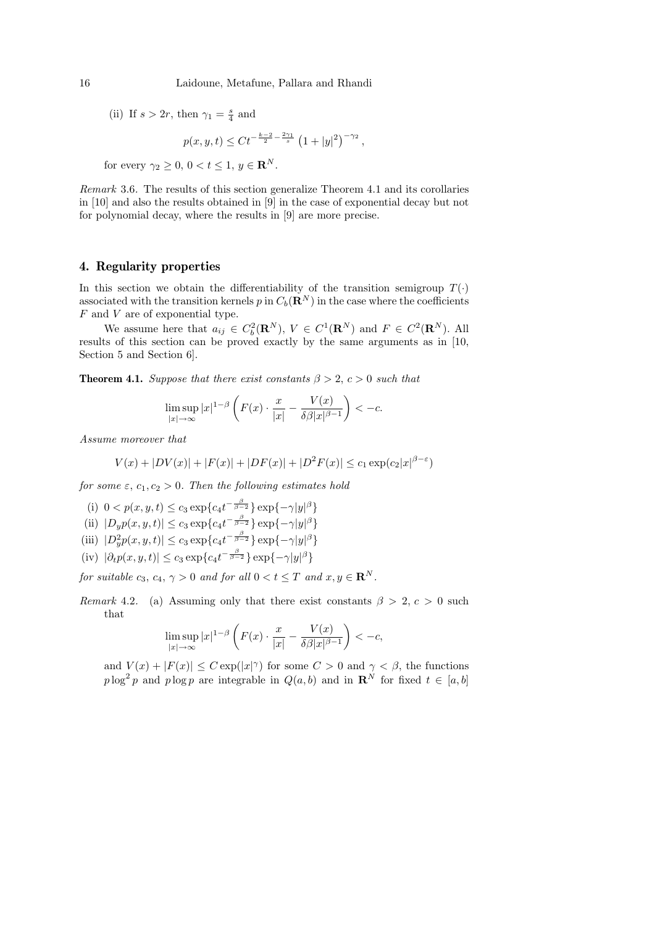(ii) If  $s > 2r$ , then  $\gamma_1 = \frac{s}{4}$  and

$$
p(x, y, t) \leq C t^{-\frac{k-2}{2} - \frac{2\gamma_1}{s}} \left(1 + |y|^2\right)^{-\gamma_2},
$$

for every  $\gamma_2 \geq 0, 0 < t \leq 1, y \in \mathbb{R}^N$ .

Remark 3.6. The results of this section generalize Theorem 4.1 and its corollaries in [10] and also the results obtained in [9] in the case of exponential decay but not for polynomial decay, where the results in [9] are more precise.

#### 4. Regularity properties

In this section we obtain the differentiability of the transition semigroup  $T(\cdot)$ associated with the transition kernels p in  $C_b(\mathbf{R}^N)$  in the case where the coefficients F and V are of exponential type.

We assume here that  $a_{ij} \in C_b^2(\mathbf{R}^N)$ ,  $V \in C^1(\mathbf{R}^N)$  and  $F \in C^2(\mathbf{R}^N)$ . All results of this section can be proved exactly by the same arguments as in [10, Section 5 and Section 6].

**Theorem 4.1.** Suppose that there exist constants  $\beta > 2$ ,  $c > 0$  such that

$$
\limsup_{|x| \to \infty} |x|^{1-\beta} \left( F(x) \cdot \frac{x}{|x|} - \frac{V(x)}{\delta \beta |x|^{\beta - 1}} \right) < -c.
$$

Assume moreover that

$$
V(x) + |DV(x)| + |F(x)| + |DF(x)| + |D^{2}F(x)| \leq c_{1} \exp(c_{2}|x|^{\beta-\varepsilon})
$$

for some  $\varepsilon$ ,  $c_1, c_2 > 0$ . Then the following estimates hold

(i)  $0 < p(x, y, t) \le c_3 \exp\{c_4 t^{-\frac{\beta}{\beta - 2}}\} \exp\{-\gamma |y|^\beta\}$ (ii)  $|D_y p(x, y, t)| \le c_3 \exp\{c_4 t^{-\frac{\beta}{\beta - 2}}\} \exp\{-\gamma |y|^\beta\}$ (iii)  $|D_y^2 p(x, y, t)| \le c_3 \exp\{c_4 t^{-\frac{\beta}{\beta - 2}}\} \exp\{-\gamma |y|^\beta\}$ (iv)  $|\partial_t p(x, y, t)| \leq c_3 \exp\{c_4 t^{-\frac{\beta}{\beta - 2}}\} \exp\{-\gamma |y|^\beta\}$ 

for suitable  $c_3, c_4, \gamma > 0$  and for all  $0 < t < T$  and  $x, y \in \mathbb{R}^N$ .

Remark 4.2. (a) Assuming only that there exist constants  $\beta > 2, c > 0$  such that

$$
\limsup_{|x| \to \infty} |x|^{1-\beta} \left( F(x) \cdot \frac{x}{|x|} - \frac{V(x)}{\delta \beta |x|^{\beta - 1}} \right) < -c,
$$

and  $V(x) + |F(x)| \leq C \exp(|x|^{\gamma})$  for some  $C > 0$  and  $\gamma < \beta$ , the functions  $p \log^2 p$  and  $p \log p$  are integrable in  $Q(a, b)$  and in  $\mathbb{R}^N$  for fixed  $t \in [a, b]$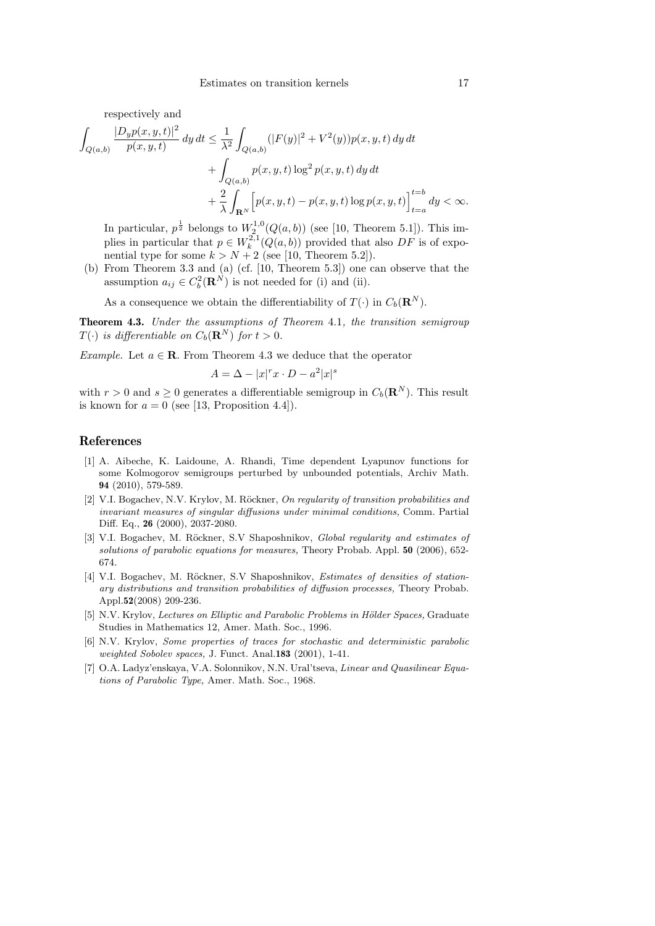respectively and

$$
\int_{Q(a,b)} \frac{|D_y p(x,y,t)|^2}{p(x,y,t)} dy dt \le \frac{1}{\lambda^2} \int_{Q(a,b)} (|F(y)|^2 + V^2(y)) p(x,y,t) dy dt \n+ \int_{Q(a,b)} p(x,y,t) \log^2 p(x,y,t) dy dt \n+ \frac{2}{\lambda} \int_{\mathbf{R}^N} \Big[ p(x,y,t) - p(x,y,t) \log p(x,y,t) \Big]_{t=a}^{t=b} dy < \infty.
$$

In particular,  $p^{\frac{1}{2}}$  belongs to  $W_2^{1,0}(Q(a, b))$  (see [10, Theorem 5.1]). This implies in particular that  $p \in W_k^{2,1}(Q(a, b))$  provided that also  $DF$  is of exponential type for some  $k > N + 2$  (see [10, Theorem 5.2]).

(b) From Theorem 3.3 and (a) (cf. [10, Theorem 5.3]) one can observe that the assumption  $a_{ij} \in C_b^2(\mathbf{R}^N)$  is not needed for (i) and (ii).

As a consequence we obtain the differentiability of  $T(\cdot)$  in  $C_b(\mathbf{R}^N)$ .

Theorem 4.3. Under the assumptions of Theorem 4.1, the transition semigroup  $T(\cdot)$  is differentiable on  $C_b(\mathbf{R}^N)$  for  $t > 0$ .

Example. Let  $a \in \mathbb{R}$ . From Theorem 4.3 we deduce that the operator

$$
A = \Delta - |x|^r x \cdot D - a^2 |x|^s
$$

with  $r > 0$  and  $s \geq 0$  generates a differentiable semigroup in  $C_b(\mathbf{R}^N)$ . This result is known for  $a = 0$  (see [13, Proposition 4.4]).

#### References

- [1] A. Aibeche, K. Laidoune, A. Rhandi, Time dependent Lyapunov functions for some Kolmogorov semigroups perturbed by unbounded potentials, Archiv Math. 94 (2010), 579-589.
- [2] V.I. Bogachev, N.V. Krylov, M. Röckner, On regularity of transition probabilities and invariant measures of singular diffusions under minimal conditions, Comm. Partial Diff. Eq., 26 (2000), 2037-2080.
- [3] V.I. Bogachev, M. Röckner, S.V Shaposhnikov, Global regularity and estimates of solutions of parabolic equations for measures, Theory Probab. Appl. 50 (2006), 652- 674.
- [4] V.I. Bogachev, M. Röckner, S.V Shaposhnikov, Estimates of densities of stationary distributions and transition probabilities of diffusion processes, Theory Probab. Appl.52(2008) 209-236.
- [5] N.V. Krylov, Lectures on Elliptic and Parabolic Problems in Hölder Spaces, Graduate Studies in Mathematics 12, Amer. Math. Soc., 1996.
- [6] N.V. Krylov, Some properties of traces for stochastic and deterministic parabolic weighted Sobolev spaces, J. Funct. Anal.183 (2001), 1-41.
- [7] O.A. Ladyz'enskaya, V.A. Solonnikov, N.N. Ural'tseva, Linear and Quasilinear Equations of Parabolic Type, Amer. Math. Soc., 1968.